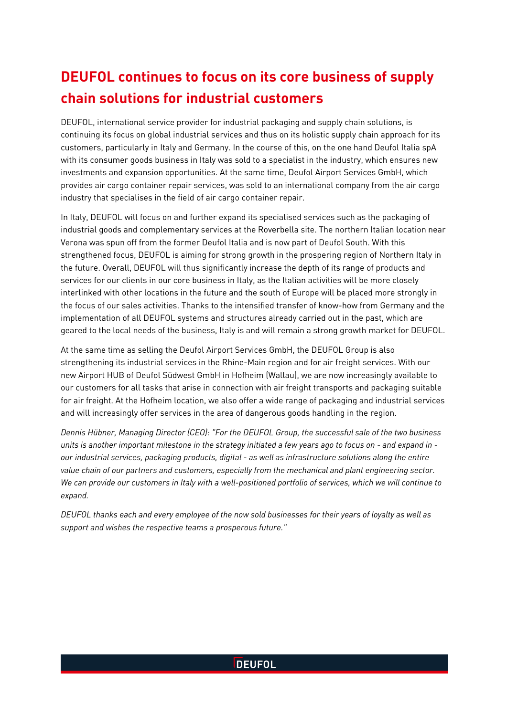# **DEUFOL continues to focus on its core business of supply chain solutions for industrial customers**

DEUFOL, international service provider for industrial packaging and supply chain solutions, is continuing its focus on global industrial services and thus on its holistic supply chain approach for its customers, particularly in Italy and Germany. In the course of this, on the one hand Deufol Italia spA with its consumer goods business in Italy was sold to a specialist in the industry, which ensures new investments and expansion opportunities. At the same time, Deufol Airport Services GmbH, which provides air cargo container repair services, was sold to an international company from the air cargo industry that specialises in the field of air cargo container repair.

In Italy, DEUFOL will focus on and further expand its specialised services such as the packaging of industrial goods and complementary services at the Roverbella site. The northern Italian location near Verona was spun off from the former Deufol Italia and is now part of Deufol South. With this strengthened focus, DEUFOL is aiming for strong growth in the prospering region of Northern Italy in the future. Overall, DEUFOL will thus significantly increase the depth of its range of products and services for our clients in our core business in Italy, as the Italian activities will be more closely interlinked with other locations in the future and the south of Europe will be placed more strongly in the focus of our sales activities. Thanks to the intensified transfer of know-how from Germany and the implementation of all DEUFOL systems and structures already carried out in the past, which are geared to the local needs of the business, Italy is and will remain a strong growth market for DEUFOL.

At the same time as selling the Deufol Airport Services GmbH, the DEUFOL Group is also strengthening its industrial services in the Rhine-Main region and for air freight services. With our new Airport HUB of Deufol Südwest GmbH in Hofheim (Wallau), we are now increasingly available to our customers for all tasks that arise in connection with air freight transports and packaging suitable for air freight. At the Hofheim location, we also offer a wide range of packaging and industrial services and will increasingly offer services in the area of dangerous goods handling in the region.

*Dennis Hübner, Managing Director (CEO): "For the DEUFOL Group, the successful sale of the two business units is another important milestone in the strategy initiated a few years ago to focus on - and expand in our industrial services, packaging products, digital - as well as infrastructure solutions along the entire value chain of our partners and customers, especially from the mechanical and plant engineering sector. We can provide our customers in Italy with a well-positioned portfolio of services, which we will continue to expand.*

*DEUFOL thanks each and every employee of the now sold businesses for their years of loyalty as well as support and wishes the respective teams a prosperous future."*

### **DEUFOL**